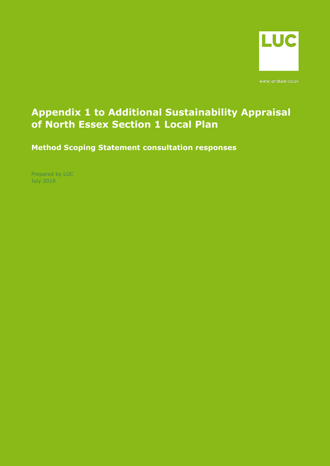

www.landuse.co.uk

# **Appendix 1 to Additional Sustainability Appraisal of North Essex Section 1 Local Plan**

**Method Scoping Statement consultation responses**

Prepared by LUC July 2019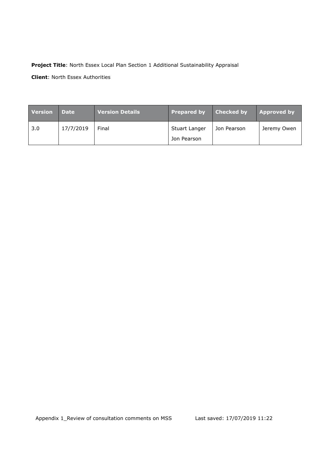### **Project Title**: North Essex Local Plan Section 1 Additional Sustainability Appraisal

**Client**: North Essex Authorities

| <b>Version</b> | <b>Date</b> | <b>Version Details</b> | <b>Prepared by</b> | <b>Checked by</b> | <b>Approved by</b> |
|----------------|-------------|------------------------|--------------------|-------------------|--------------------|
| 3.0            | 17/7/2019   | Final                  | Stuart Langer      | Jon Pearson       | Jeremy Owen        |
|                |             |                        | Jon Pearson        |                   |                    |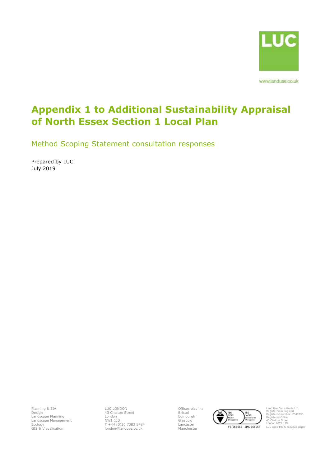

www.landuse.co.uk

# **Appendix 1 to Additional Sustainability Appraisal of North Essex Section 1 Local Plan**

Method Scoping Statement consultation responses

Prepared by LUC July 2019

Planning & EIA Design Landscape Planning Landscape Management Ecology GIS & Visualisation

LUC LONDON 43 Chalton Street London NW1 1JD T +44 (0)20 7383 5784 london@landuse.co.uk Offices also in: Bristol Edinburgh Glasgow Lancaster



Land Use Consultants Ltd Registered in England Registered number: 2549296 Registered Office: 43 Chalton Street London NW1 1JD LUC uses 100% recycled paper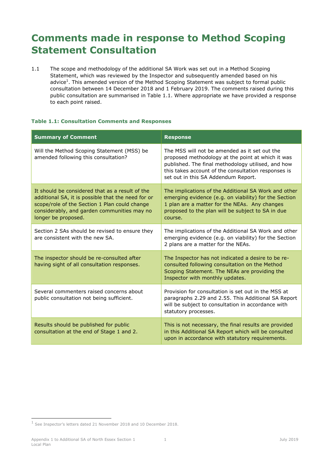# **Comments made in response to Method Scoping Statement Consultation**

1.1 The scope and methodology of the additional SA Work was set out in a Method Scoping Statement, which was reviewed by the Inspector and subsequently amended based on his advice<sup>1</sup>. This amended version of the Method Scoping Statement was subject to formal public consultation between 14 December 2018 and 1 February 2019. The comments raised during this public consultation are summarised in [Table 1.1.](#page-3-0) Where appropriate we have provided a response to each point raised.

#### <span id="page-3-0"></span>**Table 1.1: Consultation Comments and Responses**

| <b>Summary of Comment</b>                                                                                                                                                                                                    | <b>Response</b>                                                                                                                                                                                                                                        |
|------------------------------------------------------------------------------------------------------------------------------------------------------------------------------------------------------------------------------|--------------------------------------------------------------------------------------------------------------------------------------------------------------------------------------------------------------------------------------------------------|
| Will the Method Scoping Statement (MSS) be<br>amended following this consultation?                                                                                                                                           | The MSS will not be amended as it set out the<br>proposed methodology at the point at which it was<br>published. The final methodology utilised, and how<br>this takes account of the consultation responses is<br>set out in this SA Addendum Report. |
| It should be considered that as a result of the<br>additional SA, it is possible that the need for or<br>scope/role of the Section 1 Plan could change<br>considerably, and garden communities may no<br>longer be proposed. | The implications of the Additional SA Work and other<br>emerging evidence (e.g. on viability) for the Section<br>1 plan are a matter for the NEAs. Any changes<br>proposed to the plan will be subject to SA in due<br>course.                         |
| Section 2 SAs should be revised to ensure they<br>are consistent with the new SA.                                                                                                                                            | The implications of the Additional SA Work and other<br>emerging evidence (e.g. on viability) for the Section<br>2 plans are a matter for the NEAs.                                                                                                    |
| The inspector should be re-consulted after<br>having sight of all consultation responses.                                                                                                                                    | The Inspector has not indicated a desire to be re-<br>consulted following consultation on the Method<br>Scoping Statement. The NEAs are providing the<br>Inspector with monthly updates.                                                               |
| Several commenters raised concerns about<br>public consultation not being sufficient.                                                                                                                                        | Provision for consultation is set out in the MSS at<br>paragraphs 2.29 and 2.55. This Additional SA Report<br>will be subject to consultation in accordance with<br>statutory processes.                                                               |
| Results should be published for public<br>consultation at the end of Stage 1 and 2.                                                                                                                                          | This is not necessary, the final results are provided<br>in this Additional SA Report which will be consulted<br>upon in accordance with statutory requirements.                                                                                       |

-

<sup>1</sup> See Inspector's letters dated 21 November 2018 and 10 December 2018.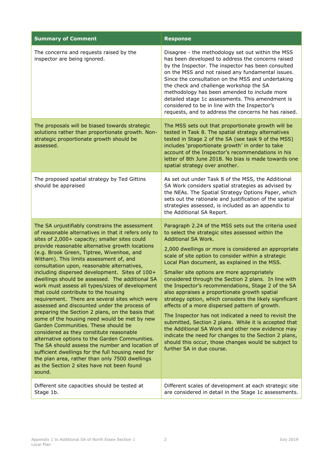| <b>Summary of Comment</b>                                                                                                                                                                                                                                                                                                                                                                                                                                                                                                                                                                                                                                                                                                                                                                                                                                                                                                                                                                                                                                                                                        | <b>Response</b>                                                                                                                                                                                                                                                                                                                                                                                                                                                                                                                                                                                                                                                                                                                                                                                                                                                                                                                                  |
|------------------------------------------------------------------------------------------------------------------------------------------------------------------------------------------------------------------------------------------------------------------------------------------------------------------------------------------------------------------------------------------------------------------------------------------------------------------------------------------------------------------------------------------------------------------------------------------------------------------------------------------------------------------------------------------------------------------------------------------------------------------------------------------------------------------------------------------------------------------------------------------------------------------------------------------------------------------------------------------------------------------------------------------------------------------------------------------------------------------|--------------------------------------------------------------------------------------------------------------------------------------------------------------------------------------------------------------------------------------------------------------------------------------------------------------------------------------------------------------------------------------------------------------------------------------------------------------------------------------------------------------------------------------------------------------------------------------------------------------------------------------------------------------------------------------------------------------------------------------------------------------------------------------------------------------------------------------------------------------------------------------------------------------------------------------------------|
| The concerns and requests raised by the<br>inspector are being ignored.                                                                                                                                                                                                                                                                                                                                                                                                                                                                                                                                                                                                                                                                                                                                                                                                                                                                                                                                                                                                                                          | Disagree - the methodology set out within the MSS<br>has been developed to address the concerns raised<br>by the Inspector. The inspector has been consulted<br>on the MSS and not raised any fundamental issues.<br>Since the consultation on the MSS and undertaking<br>the check and challenge workshop the SA<br>methodology has been amended to include more<br>detailed stage 1c assessments. This amendment is<br>considered to be in line with the Inspector's<br>requests, and to address the concerns he has raised.                                                                                                                                                                                                                                                                                                                                                                                                                   |
| The proposals will be biased towards strategic<br>solutions rather than proportionate growth. Non-<br>strategic proportionate growth should be<br>assessed.                                                                                                                                                                                                                                                                                                                                                                                                                                                                                                                                                                                                                                                                                                                                                                                                                                                                                                                                                      | The MSS sets out that proportionate growth will be<br>tested in Task 8. The spatial strategy alternatives<br>tested in Stage 2 of the SA (see task 9 of the MSS)<br>includes 'proportionate growth' in order to take<br>account of the Inspector's recommendations in his<br>letter of 8th June 2018. No bias is made towards one<br>spatial strategy over another.                                                                                                                                                                                                                                                                                                                                                                                                                                                                                                                                                                              |
| The proposed spatial strategy by Ted Gittins<br>should be appraised                                                                                                                                                                                                                                                                                                                                                                                                                                                                                                                                                                                                                                                                                                                                                                                                                                                                                                                                                                                                                                              | As set out under Task 8 of the MSS, the Additional<br>SA Work considers spatial strategies as advised by<br>the NEAs. The Spatial Strategy Options Paper, which<br>sets out the rationale and justification of the spatial<br>strategies assessed, is included as an appendix to<br>the Additional SA Report.                                                                                                                                                                                                                                                                                                                                                                                                                                                                                                                                                                                                                                    |
| The SA unjustifiably constrains the assessment<br>of reasonable alternatives in that it refers only to<br>sites of 2,000+ capacity; smaller sites could<br>provide reasonable alternative growth locations<br>(e.g. Brook Green, Tiptree, Wivenhoe, and<br>Witham). This limits assessment of, and<br>consultation upon, reasonable alternatives,<br>including dispersed development. Sites of 100+<br>dwellings should be assessed. The additional SA<br>work must assess all types/sizes of development<br>that could contribute to the housing<br>requirement. There are several sites which were<br>assessed and discounted under the process of<br>preparing the Section 2 plans, on the basis that<br>some of the housing need would be met by new<br>Garden Communities. These should be<br>considered as they constitute reasonable<br>alternative options to the Garden Communities.<br>The SA should assess the number and location of<br>sufficient dwellings for the full housing need for<br>the plan area, rather than only 7500 dwellings<br>as the Section 2 sites have not been found<br>sound. | Paragraph 2.24 of the MSS sets out the criteria used<br>to select the strategic sites assessed within the<br>Additional SA Work.<br>2,000 dwellings or more is considered an appropriate<br>scale of site option to consider within a strategic<br>Local Plan document, as explained in the MSS.<br>Smaller site options are more appropriately<br>considered through the Section 2 plans. In line with<br>the Inspector's recommendations, Stage 2 of the SA<br>also appraises a proportionate growth spatial<br>strategy option, which considers the likely significant<br>effects of a more dispersed pattern of growth.<br>The Inspector has not indicated a need to revisit the<br>submitted, Section 2 plans. While it is accepted that<br>the Additional SA Work and other new evidence may<br>indicate the need for changes to the Section 2 plans,<br>should this occur, those changes would be subject to<br>further SA in due course. |
| Different site capacities should be tested at<br>Stage 1b.                                                                                                                                                                                                                                                                                                                                                                                                                                                                                                                                                                                                                                                                                                                                                                                                                                                                                                                                                                                                                                                       | Different scales of development at each strategic site<br>are considered in detail in the Stage 1c assessments.                                                                                                                                                                                                                                                                                                                                                                                                                                                                                                                                                                                                                                                                                                                                                                                                                                  |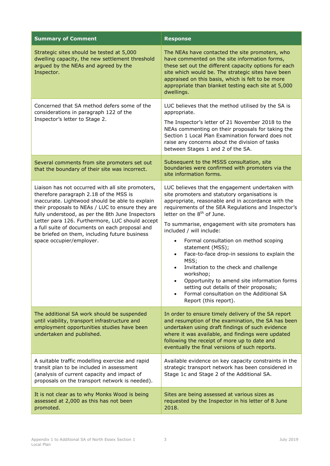| <b>Summary of Comment</b>                                                                                                                                                                                                                                                                                                                                                                                                                | <b>Response</b>                                                                                                                                                                                                                                                                                                                                                                                                                                                                                                                                                                                                                                                                    |
|------------------------------------------------------------------------------------------------------------------------------------------------------------------------------------------------------------------------------------------------------------------------------------------------------------------------------------------------------------------------------------------------------------------------------------------|------------------------------------------------------------------------------------------------------------------------------------------------------------------------------------------------------------------------------------------------------------------------------------------------------------------------------------------------------------------------------------------------------------------------------------------------------------------------------------------------------------------------------------------------------------------------------------------------------------------------------------------------------------------------------------|
| Strategic sites should be tested at 5,000<br>dwelling capacity, the new settlement threshold<br>argued by the NEAs and agreed by the<br>Inspector.                                                                                                                                                                                                                                                                                       | The NEAs have contacted the site promoters, who<br>have commented on the site information forms,<br>these set out the different capacity options for each<br>site which would be. The strategic sites have been<br>appraised on this basis, which is felt to be more<br>appropriate than blanket testing each site at 5,000<br>dwellings.                                                                                                                                                                                                                                                                                                                                          |
| Concerned that SA method defers some of the<br>considerations in paragraph 122 of the<br>Inspector's letter to Stage 2.                                                                                                                                                                                                                                                                                                                  | LUC believes that the method utilised by the SA is<br>appropriate.<br>The Inspector's letter of 21 November 2018 to the<br>NEAs commenting on their proposals for taking the<br>Section 1 Local Plan Examination forward does not<br>raise any concerns about the division of tasks<br>between Stages 1 and 2 of the SA.                                                                                                                                                                                                                                                                                                                                                           |
| Several comments from site promoters set out<br>that the boundary of their site was incorrect.                                                                                                                                                                                                                                                                                                                                           | Subsequent to the MSSS consultation, site<br>boundaries were confirmed with promoters via the<br>site information forms.                                                                                                                                                                                                                                                                                                                                                                                                                                                                                                                                                           |
| Liaison has not occurred with all site promoters,<br>therefore paragraph 2.18 of the MSS is<br>inaccurate. Lightwood should be able to explain<br>their proposals to NEAs / LUC to ensure they are<br>fully understood, as per the 8th June Inspectors<br>Letter para 126. Furthermore, LUC should accept<br>a full suite of documents on each proposal and<br>be briefed on them, including future business<br>space occupier/employer. | LUC believes that the engagement undertaken with<br>site promoters and statutory organisations is<br>appropriate, reasonable and in accordance with the<br>requirements of the SEA Regulations and Inspector's<br>letter on the 8 <sup>th</sup> of June.<br>To summarise, engagement with site promoters has<br>included / will include:<br>Formal consultation on method scoping<br>statement (MSS);<br>Face-to-face drop-in sessions to explain the<br>MSS;<br>Invitation to the check and challenge<br>workshop;<br>Opportunity to amend site information forms<br>setting out details of their proposals;<br>Formal consultation on the Additional SA<br>Report (this report). |
| The additional SA work should be suspended<br>until viability, transport infrastructure and<br>employment opportunities studies have been<br>undertaken and published.                                                                                                                                                                                                                                                                   | In order to ensure timely delivery of the SA report<br>and resumption of the examination, the SA has been<br>undertaken using draft findings of such evidence<br>where it was available, and findings were updated<br>following the receipt of more up to date and<br>eventually the final versions of such reports.                                                                                                                                                                                                                                                                                                                                                               |
| A suitable traffic modelling exercise and rapid<br>transit plan to be included in assessment<br>(analysis of current capacity and impact of<br>proposals on the transport network is needed).                                                                                                                                                                                                                                            | Available evidence on key capacity constraints in the<br>strategic transport network has been considered in<br>Stage 1c and Stage 2 of the Additional SA.                                                                                                                                                                                                                                                                                                                                                                                                                                                                                                                          |
| It is not clear as to why Monks Wood is being<br>assessed at 2,000 as this has not been<br>promoted.                                                                                                                                                                                                                                                                                                                                     | Sites are being assessed at various sizes as<br>requested by the Inspector in his letter of 8 June<br>2018.                                                                                                                                                                                                                                                                                                                                                                                                                                                                                                                                                                        |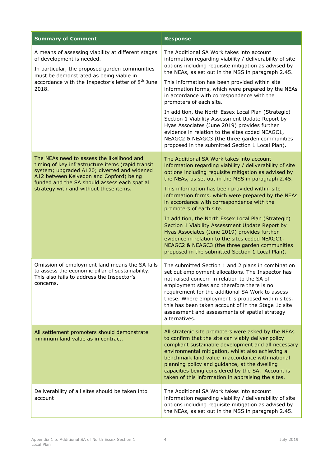| <b>Summary of Comment</b>                                                                                                                                                                                                                                                           | <b>Response</b>                                                                                                                                                                                                                                                                                                                                                                                                                         |
|-------------------------------------------------------------------------------------------------------------------------------------------------------------------------------------------------------------------------------------------------------------------------------------|-----------------------------------------------------------------------------------------------------------------------------------------------------------------------------------------------------------------------------------------------------------------------------------------------------------------------------------------------------------------------------------------------------------------------------------------|
| A means of assessing viability at different stages<br>of development is needed.<br>In particular, the proposed garden communities<br>must be demonstrated as being viable in<br>accordance with the Inspector's letter of 8 <sup>th</sup> June<br>2018.                             | The Additional SA Work takes into account<br>information regarding viability / deliverability of site<br>options including requisite mitigation as advised by<br>the NEAs, as set out in the MSS in paragraph 2.45.                                                                                                                                                                                                                     |
|                                                                                                                                                                                                                                                                                     | This information has been provided within site<br>information forms, which were prepared by the NEAs<br>in accordance with correspondence with the<br>promoters of each site.                                                                                                                                                                                                                                                           |
|                                                                                                                                                                                                                                                                                     | In addition, the North Essex Local Plan (Strategic)<br>Section 1 Viability Assessment Update Report by<br>Hyas Associates (June 2019) provides further<br>evidence in relation to the sites coded NEAGC1,<br>NEAGC2 & NEAGC3 (the three garden communities<br>proposed in the submitted Section 1 Local Plan).                                                                                                                          |
| The NEAs need to assess the likelihood and<br>timing of key infrastructure items (rapid transit<br>system; upgraded A120; diverted and widened<br>A12 between Kelvedon and Copford) being<br>funded and the SA should assess each spatial<br>strategy with and without these items. | The Additional SA Work takes into account<br>information regarding viability / deliverability of site<br>options including requisite mitigation as advised by<br>the NEAs, as set out in the MSS in paragraph 2.45.                                                                                                                                                                                                                     |
|                                                                                                                                                                                                                                                                                     | This information has been provided within site<br>information forms, which were prepared by the NEAs<br>in accordance with correspondence with the<br>promoters of each site.                                                                                                                                                                                                                                                           |
|                                                                                                                                                                                                                                                                                     | In addition, the North Essex Local Plan (Strategic)<br>Section 1 Viability Assessment Update Report by<br>Hyas Associates (June 2019) provides further<br>evidence in relation to the sites coded NEAGC1,<br>NEAGC2 & NEAGC3 (the three garden communities<br>proposed in the submitted Section 1 Local Plan).                                                                                                                          |
| Omission of employment land means the SA fails<br>to assess the economic pillar of sustainability.<br>This also fails to address the Inspector's<br>concerns.                                                                                                                       | The submitted Section 1 and 2 plans in combination<br>set out employment allocations. The Inspector has<br>not raised concern in relation to the SA of<br>employment sites and therefore there is no<br>requirement for the additional SA Work to assess<br>these. Where employment is proposed within sites,<br>this has been taken account of in the Stage 1c site<br>assessment and assessments of spatial strategy<br>alternatives. |
| All settlement promoters should demonstrate<br>minimum land value as in contract.                                                                                                                                                                                                   | All strategic site promoters were asked by the NEAs<br>to confirm that the site can viably deliver policy<br>compliant sustainable development and all necessary<br>environmental mitigation, whilst also achieving a<br>benchmark land value in accordance with national<br>planning policy and guidance, at the dwelling<br>capacities being considered by the SA. Account is<br>taken of this information in appraising the sites.   |
| Deliverability of all sites should be taken into<br>account                                                                                                                                                                                                                         | The Additional SA Work takes into account<br>information regarding viability / deliverability of site<br>options including requisite mitigation as advised by<br>the NEAs, as set out in the MSS in paragraph 2.45.                                                                                                                                                                                                                     |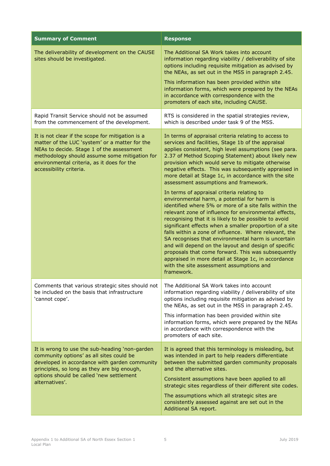| <b>Summary of Comment</b>                                                                                                                                                                                                                                                 | <b>Response</b>                                                                                                                                                                                                                                                                                                                                                                                                                                                                                                                                                                                                                                                                                                                                                                                                                                                                                                                                                                                                                                                                                                           |  |
|---------------------------------------------------------------------------------------------------------------------------------------------------------------------------------------------------------------------------------------------------------------------------|---------------------------------------------------------------------------------------------------------------------------------------------------------------------------------------------------------------------------------------------------------------------------------------------------------------------------------------------------------------------------------------------------------------------------------------------------------------------------------------------------------------------------------------------------------------------------------------------------------------------------------------------------------------------------------------------------------------------------------------------------------------------------------------------------------------------------------------------------------------------------------------------------------------------------------------------------------------------------------------------------------------------------------------------------------------------------------------------------------------------------|--|
| The deliverability of development on the CAUSE<br>sites should be investigated.                                                                                                                                                                                           | The Additional SA Work takes into account<br>information regarding viability / deliverability of site<br>options including requisite mitigation as advised by<br>the NEAs, as set out in the MSS in paragraph 2.45.                                                                                                                                                                                                                                                                                                                                                                                                                                                                                                                                                                                                                                                                                                                                                                                                                                                                                                       |  |
|                                                                                                                                                                                                                                                                           | This information has been provided within site<br>information forms, which were prepared by the NEAs<br>in accordance with correspondence with the<br>promoters of each site, including CAUSE.                                                                                                                                                                                                                                                                                                                                                                                                                                                                                                                                                                                                                                                                                                                                                                                                                                                                                                                            |  |
| Rapid Transit Service should not be assumed<br>from the commencement of the development.                                                                                                                                                                                  | RTS is considered in the spatial strategies review,<br>which is described under task 9 of the MSS.                                                                                                                                                                                                                                                                                                                                                                                                                                                                                                                                                                                                                                                                                                                                                                                                                                                                                                                                                                                                                        |  |
| It is not clear if the scope for mitigation is a<br>matter of the LUC 'system' or a matter for the<br>NEAs to decide. Stage 1 of the assessment<br>methodology should assume some mitigation for<br>environmental criteria, as it does for the<br>accessibility criteria. | In terms of appraisal criteria relating to access to<br>services and facilities, Stage 1b of the appraisal<br>applies consistent, high level assumptions (see para.<br>2.37 of Method Scoping Statement) about likely new<br>provision which would serve to mitigate otherwise<br>negative effects. This was subsequently appraised in<br>more detail at Stage 1c, in accordance with the site<br>assessment assumptions and framework.<br>In terms of appraisal criteria relating to<br>environmental harm, a potential for harm is<br>identified where 5% or more of a site falls within the<br>relevant zone of influence for environmental effects,<br>recognising that it is likely to be possible to avoid<br>significant effects when a smaller proportion of a site<br>falls within a zone of influence. Where relevant, the<br>SA recognises that environmental harm is uncertain<br>and will depend on the layout and design of specific<br>proposals that come forward. This was subsequently<br>appraised in more detail at Stage 1c, in accordance<br>with the site assessment assumptions and<br>framework. |  |
| Comments that various strategic sites should not<br>be included on the basis that infrastructure<br>'cannot cope'.                                                                                                                                                        | The Additional SA Work takes into account<br>information regarding viability / deliverability of site<br>options including requisite mitigation as advised by<br>the NEAs, as set out in the MSS in paragraph 2.45.<br>This information has been provided within site<br>information forms, which were prepared by the NEAs<br>in accordance with correspondence with the<br>promoters of each site.                                                                                                                                                                                                                                                                                                                                                                                                                                                                                                                                                                                                                                                                                                                      |  |
| It is wrong to use the sub-heading 'non-garden<br>community options' as all sites could be<br>developed in accordance with garden community<br>principles, so long as they are big enough,<br>options should be called 'new settlement<br>alternatives'.                  | It is agreed that this terminology is misleading, but<br>was intended in part to help readers differentiate<br>between the submitted garden community proposals<br>and the alternative sites.<br>Consistent assumptions have been applied to all<br>strategic sites regardless of their different site codes.<br>The assumptions which all strategic sites are                                                                                                                                                                                                                                                                                                                                                                                                                                                                                                                                                                                                                                                                                                                                                            |  |
|                                                                                                                                                                                                                                                                           | consistently assessed against are set out in the<br>Additional SA report.                                                                                                                                                                                                                                                                                                                                                                                                                                                                                                                                                                                                                                                                                                                                                                                                                                                                                                                                                                                                                                                 |  |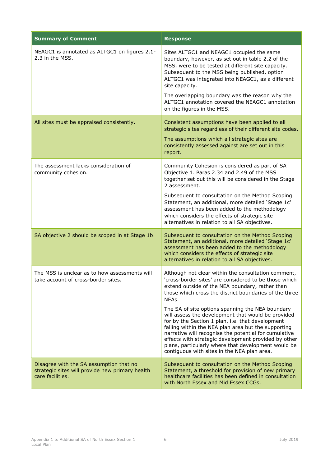| <b>Summary of Comment</b>                                                                                      | <b>Response</b>                                                                                                                                                                                                                                                                                                                                                                                                                                                                                                                                                                                                                                                                |
|----------------------------------------------------------------------------------------------------------------|--------------------------------------------------------------------------------------------------------------------------------------------------------------------------------------------------------------------------------------------------------------------------------------------------------------------------------------------------------------------------------------------------------------------------------------------------------------------------------------------------------------------------------------------------------------------------------------------------------------------------------------------------------------------------------|
| NEAGC1 is annotated as ALTGC1 on figures 2.1-<br>2.3 in the MSS.                                               | Sites ALTGC1 and NEAGC1 occupied the same<br>boundary, however, as set out in table 2.2 of the<br>MSS, were to be tested at different site capacity.<br>Subsequent to the MSS being published, option<br>ALTGC1 was integrated into NEAGC1, as a different<br>site capacity.<br>The overlapping boundary was the reason why the                                                                                                                                                                                                                                                                                                                                                |
|                                                                                                                | ALTGC1 annotation covered the NEAGC1 annotation<br>on the figures in the MSS.                                                                                                                                                                                                                                                                                                                                                                                                                                                                                                                                                                                                  |
| All sites must be appraised consistently.                                                                      | Consistent assumptions have been applied to all<br>strategic sites regardless of their different site codes.<br>The assumptions which all strategic sites are<br>consistently assessed against are set out in this<br>report.                                                                                                                                                                                                                                                                                                                                                                                                                                                  |
| The assessment lacks consideration of<br>community cohesion.                                                   | Community Cohesion is considered as part of SA<br>Objective 1. Paras 2.34 and 2.49 of the MSS<br>together set out this will be considered in the Stage<br>2 assessment.<br>Subsequent to consultation on the Method Scoping<br>Statement, an additional, more detailed 'Stage 1c'<br>assessment has been added to the methodology<br>which considers the effects of strategic site<br>alternatives in relation to all SA objectives.                                                                                                                                                                                                                                           |
| SA objective 2 should be scoped in at Stage 1b.                                                                | Subsequent to consultation on the Method Scoping<br>Statement, an additional, more detailed 'Stage 1c'<br>assessment has been added to the methodology<br>which considers the effects of strategic site<br>alternatives in relation to all SA objectives.                                                                                                                                                                                                                                                                                                                                                                                                                      |
| The MSS is unclear as to how assessments will<br>take account of cross-border sites.                           | Although not clear within the consultation comment,<br>'cross-border sites' are considered to be those which<br>extend outside of the NEA boundary, rather than<br>those which cross the district boundaries of the three<br>NEAs.<br>The SA of site options spanning the NEA boundary<br>will assess the development that would be provided<br>for by the Section 1 plan, i.e. that development<br>falling within the NEA plan area but the supporting<br>narrative will recognise the potential for cumulative<br>effects with strategic development provided by other<br>plans, particularly where that development would be<br>contiguous with sites in the NEA plan area. |
| Disagree with the SA assumption that no<br>strategic sites will provide new primary health<br>care facilities. | Subsequent to consultation on the Method Scoping<br>Statement, a threshold for provision of new primary<br>healthcare facilities has been defined in consultation<br>with North Essex and Mid Essex CCGs.                                                                                                                                                                                                                                                                                                                                                                                                                                                                      |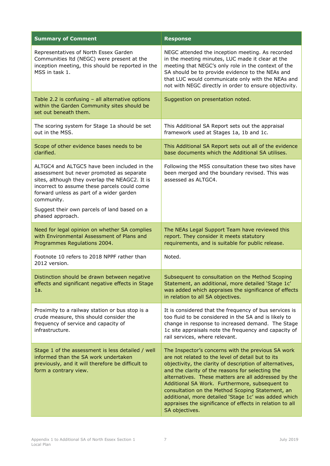| <b>Summary of Comment</b>                                                                                                                                                                                                                            | <b>Response</b>                                                                                                                                                                                                                                                                                                                                                                                                                                                                                                             |
|------------------------------------------------------------------------------------------------------------------------------------------------------------------------------------------------------------------------------------------------------|-----------------------------------------------------------------------------------------------------------------------------------------------------------------------------------------------------------------------------------------------------------------------------------------------------------------------------------------------------------------------------------------------------------------------------------------------------------------------------------------------------------------------------|
| Representatives of North Essex Garden<br>Communities Itd (NEGC) were present at the<br>inception meeting, this should be reported in the<br>MSS in task 1.                                                                                           | NEGC attended the inception meeting. As recorded<br>in the meeting minutes, LUC made it clear at the<br>meeting that NEGC's only role in the context of the<br>SA should be to provide evidence to the NEAs and<br>that LUC would communicate only with the NEAs and<br>not with NEGC directly in order to ensure objectivity.                                                                                                                                                                                              |
| Table 2.2 is confusing - all alternative options<br>within the Garden Community sites should be<br>set out beneath them.                                                                                                                             | Suggestion on presentation noted.                                                                                                                                                                                                                                                                                                                                                                                                                                                                                           |
| The scoring system for Stage 1a should be set<br>out in the MSS.                                                                                                                                                                                     | This Additional SA Report sets out the appraisal<br>framework used at Stages 1a, 1b and 1c.                                                                                                                                                                                                                                                                                                                                                                                                                                 |
| Scope of other evidence bases needs to be<br>clarified.                                                                                                                                                                                              | This Additional SA Report sets out all of the evidence<br>base documents which the Additional SA utilises.                                                                                                                                                                                                                                                                                                                                                                                                                  |
| ALTGC4 and ALTGC5 have been included in the<br>assessment but never promoted as separate<br>sites, although they overlap the NEAGC2. It is<br>incorrect to assume these parcels could come<br>forward unless as part of a wider garden<br>community. | Following the MSS consultation these two sites have<br>been merged and the boundary revised. This was<br>assessed as ALTGC4.                                                                                                                                                                                                                                                                                                                                                                                                |
| Suggest their own parcels of land based on a<br>phased approach.                                                                                                                                                                                     |                                                                                                                                                                                                                                                                                                                                                                                                                                                                                                                             |
| Need for legal opinion on whether SA complies<br>with Environmental Assessment of Plans and<br>Programmes Regulations 2004.                                                                                                                          | The NEAs Legal Support Team have reviewed this<br>report. They consider it meets statutory<br>requirements, and is suitable for public release.                                                                                                                                                                                                                                                                                                                                                                             |
| Footnote 10 refers to 2018 NPPF rather than<br>2012 version.                                                                                                                                                                                         | Noted.                                                                                                                                                                                                                                                                                                                                                                                                                                                                                                                      |
| Distinction should be drawn between negative<br>effects and significant negative effects in Stage<br>1a.                                                                                                                                             | Subsequent to consultation on the Method Scoping<br>Statement, an additional, more detailed 'Stage 1c'<br>was added which appraises the significance of effects<br>in relation to all SA objectives.                                                                                                                                                                                                                                                                                                                        |
| Proximity to a railway station or bus stop is a<br>crude measure, this should consider the<br>frequency of service and capacity of<br>infrastructure.                                                                                                | It is considered that the frequency of bus services is<br>too fluid to be considered in the SA and is likely to<br>change in response to increased demand. The Stage<br>1c site appraisals note the frequency and capacity of<br>rail services, where relevant.                                                                                                                                                                                                                                                             |
| Stage 1 of the assessment is less detailed / well<br>informed than the SA work undertaken<br>previously, and it will therefore be difficult to<br>form a contrary view.                                                                              | The Inspector's concerns with the previous SA work<br>are not related to the level of detail but to its<br>objectivity, the clarity of description of alternatives,<br>and the clarity of the reasons for selecting the<br>alternatives. These matters are all addressed by the<br>Additional SA Work. Furthermore, subsequent to<br>consultation on the Method Scoping Statement, an<br>additional, more detailed 'Stage 1c' was added which<br>appraises the significance of effects in relation to all<br>SA objectives. |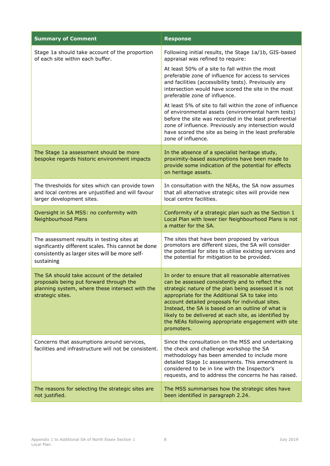| <b>Summary of Comment</b>                                                                                                                                          | <b>Response</b>                                                                                                                                                                                                                                                                                                                                                                                                                                          |
|--------------------------------------------------------------------------------------------------------------------------------------------------------------------|----------------------------------------------------------------------------------------------------------------------------------------------------------------------------------------------------------------------------------------------------------------------------------------------------------------------------------------------------------------------------------------------------------------------------------------------------------|
| Stage 1a should take account of the proportion<br>of each site within each buffer.                                                                                 | Following initial results, the Stage 1a/1b, GIS-based<br>appraisal was refined to require:                                                                                                                                                                                                                                                                                                                                                               |
|                                                                                                                                                                    | At least 50% of a site to fall within the most<br>preferable zone of influence for access to services<br>and facilities (accessibility tests). Previously any<br>intersection would have scored the site in the most<br>preferable zone of influence.                                                                                                                                                                                                    |
|                                                                                                                                                                    | At least 5% of site to fall within the zone of influence<br>of environmental assets (environmental harm tests)<br>before the site was recorded in the least preferential<br>zone of influence. Previously any intersection would<br>have scored the site as being in the least preferable<br>zone of influence.                                                                                                                                          |
| The Stage 1a assessment should be more<br>bespoke regards historic environment impacts                                                                             | In the absence of a specialist heritage study,<br>proximity-based assumptions have been made to<br>provide some indication of the potential for effects<br>on heritage assets.                                                                                                                                                                                                                                                                           |
| The thresholds for sites which can provide town<br>and local centres are unjustified and will favour<br>larger development sites.                                  | In consultation with the NEAs, the SA now assumes<br>that all alternative strategic sites will provide new<br>local centre facilities.                                                                                                                                                                                                                                                                                                                   |
| Oversight in SA MSS: no conformity with<br><b>Neighbourhood Plans</b>                                                                                              | Conformity of a strategic plan such as the Section 1<br>Local Plan with lower tier Neighbourhood Plans is not<br>a matter for the SA.                                                                                                                                                                                                                                                                                                                    |
| The assessment results in testing sites at<br>significantly different scales. This cannot be done<br>consistently as larger sites will be more self-<br>sustaining | The sites that have been proposed by various<br>promotors are different sizes, the SA will consider<br>the potential for sites to utilise existing services and<br>the potential for mitigation to be provided.                                                                                                                                                                                                                                          |
| The SA should take account of the detailed<br>proposals being put forward through the<br>planning system, where these intersect with the<br>strategic sites.       | In order to ensure that all reasonable alternatives<br>can be assessed consistently and to reflect the<br>strategic nature of the plan being assessed it is not<br>appropriate for the Additional SA to take into<br>account detailed proposals for individual sites.<br>Instead, the SA is based on an outline of what is<br>likely to be delivered at each site, as identified by<br>the NEAs following appropriate engagement with site<br>promoters. |
| Concerns that assumptions around services,<br>facilities and infrastructure will not be consistent.                                                                | Since the consultation on the MSS and undertaking<br>the check and challenge workshop the SA<br>methodology has been amended to include more<br>detailed Stage 1c assessments. This amendment is<br>considered to be in line with the Inspector's<br>requests, and to address the concerns he has raised.                                                                                                                                                |
| The reasons for selecting the strategic sites are<br>not justified.                                                                                                | The MSS summarises how the strategic sites have<br>been identified in paragraph 2.24.                                                                                                                                                                                                                                                                                                                                                                    |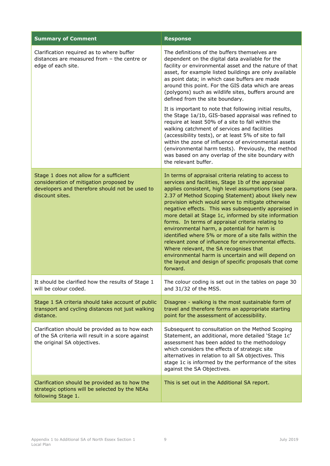| <b>Summary of Comment</b>                                                                                                                               | <b>Response</b>                                                                                                                                                                                                                                                                                                                                                                                                                                                                                                                                                                                                                                                                                                                                                                             |
|---------------------------------------------------------------------------------------------------------------------------------------------------------|---------------------------------------------------------------------------------------------------------------------------------------------------------------------------------------------------------------------------------------------------------------------------------------------------------------------------------------------------------------------------------------------------------------------------------------------------------------------------------------------------------------------------------------------------------------------------------------------------------------------------------------------------------------------------------------------------------------------------------------------------------------------------------------------|
| Clarification required as to where buffer<br>distances are measured from - the centre or<br>edge of each site.                                          | The definitions of the buffers themselves are<br>dependent on the digital data available for the<br>facility or environmental asset and the nature of that<br>asset, for example listed buildings are only available<br>as point data; in which case buffers are made<br>around this point. For the GIS data which are areas<br>(polygons) such as wildlife sites, buffers around are<br>defined from the site boundary.<br>It is important to note that following initial results,<br>the Stage 1a/1b, GIS-based appraisal was refined to<br>require at least 50% of a site to fall within the<br>walking catchment of services and facilities<br>(accessibility tests), or at least 5% of site to fall<br>within the zone of influence of environmental assets                            |
|                                                                                                                                                         | (environmental harm tests). Previously, the method<br>was based on any overlap of the site boundary with<br>the relevant buffer.                                                                                                                                                                                                                                                                                                                                                                                                                                                                                                                                                                                                                                                            |
| Stage 1 does not allow for a sufficient<br>consideration of mitigation proposed by<br>developers and therefore should not be used to<br>discount sites. | In terms of appraisal criteria relating to access to<br>services and facilities, Stage 1b of the appraisal<br>applies consistent, high level assumptions (see para.<br>2.37 of Method Scoping Statement) about likely new<br>provision which would serve to mitigate otherwise<br>negative effects. This was subsequently appraised in<br>more detail at Stage 1c, informed by site information<br>forms. In terms of appraisal criteria relating to<br>environmental harm, a potential for harm is<br>identified where 5% or more of a site falls within the<br>relevant zone of influence for environmental effects.<br>Where relevant, the SA recognises that<br>environmental harm is uncertain and will depend on<br>the layout and design of specific proposals that come<br>forward. |
| It should be clarified how the results of Stage 1<br>will be colour coded.                                                                              | The colour coding is set out in the tables on page 30<br>and 31/32 of the MSS.                                                                                                                                                                                                                                                                                                                                                                                                                                                                                                                                                                                                                                                                                                              |
| Stage 1 SA criteria should take account of public<br>transport and cycling distances not just walking<br>distance.                                      | Disagree - walking is the most sustainable form of<br>travel and therefore forms an appropriate starting<br>point for the assessment of accessibility.                                                                                                                                                                                                                                                                                                                                                                                                                                                                                                                                                                                                                                      |
| Clarification should be provided as to how each<br>of the SA criteria will result in a score against<br>the original SA objectives.                     | Subsequent to consultation on the Method Scoping<br>Statement, an additional, more detailed 'Stage 1c'<br>assessment has been added to the methodology<br>which considers the effects of strategic site<br>alternatives in relation to all SA objectives. This<br>stage 1c is informed by the performance of the sites<br>against the SA Objectives.                                                                                                                                                                                                                                                                                                                                                                                                                                        |
| Clarification should be provided as to how the<br>strategic options will be selected by the NEAs<br>following Stage 1.                                  | This is set out in the Additional SA report.                                                                                                                                                                                                                                                                                                                                                                                                                                                                                                                                                                                                                                                                                                                                                |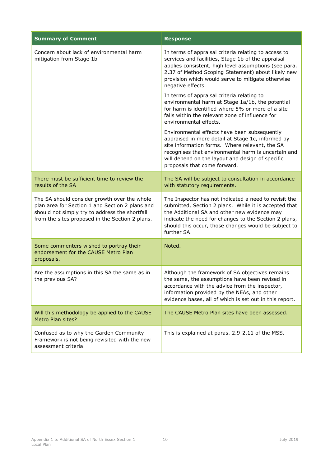| <b>Summary of Comment</b>                                                                                                                                                                            | <b>Response</b>                                                                                                                                                                                                                                                                                     |
|------------------------------------------------------------------------------------------------------------------------------------------------------------------------------------------------------|-----------------------------------------------------------------------------------------------------------------------------------------------------------------------------------------------------------------------------------------------------------------------------------------------------|
| Concern about lack of environmental harm<br>mitigation from Stage 1b                                                                                                                                 | In terms of appraisal criteria relating to access to<br>services and facilities, Stage 1b of the appraisal<br>applies consistent, high level assumptions (see para.<br>2.37 of Method Scoping Statement) about likely new<br>provision which would serve to mitigate otherwise<br>negative effects. |
|                                                                                                                                                                                                      | In terms of appraisal criteria relating to<br>environmental harm at Stage 1a/1b, the potential<br>for harm is identified where 5% or more of a site<br>falls within the relevant zone of influence for<br>environmental effects.                                                                    |
|                                                                                                                                                                                                      | Environmental effects have been subsequently<br>appraised in more detail at Stage 1c, informed by<br>site information forms. Where relevant, the SA<br>recognises that environmental harm is uncertain and<br>will depend on the layout and design of specific<br>proposals that come forward.      |
| There must be sufficient time to review the<br>results of the SA                                                                                                                                     | The SA will be subject to consultation in accordance<br>with statutory requirements.                                                                                                                                                                                                                |
| The SA should consider growth over the whole<br>plan area for Section 1 and Section 2 plans and<br>should not simply try to address the shortfall<br>from the sites proposed in the Section 2 plans. | The Inspector has not indicated a need to revisit the<br>submitted, Section 2 plans. While it is accepted that<br>the Additional SA and other new evidence may<br>indicate the need for changes to the Section 2 plans,<br>should this occur, those changes would be subject to<br>further SA.      |
| Some commenters wished to portray their<br>endorsement for the CAUSE Metro Plan<br>proposals.                                                                                                        | Noted.                                                                                                                                                                                                                                                                                              |
| Are the assumptions in this SA the same as in<br>the previous SA?                                                                                                                                    | Although the framework of SA objectives remains<br>the same, the assumptions have been revised in<br>accordance with the advice from the inspector,<br>information provided by the NEAs, and other<br>evidence bases, all of which is set out in this report.                                       |
| Will this methodology be applied to the CAUSE<br>Metro Plan sites?                                                                                                                                   | The CAUSE Metro Plan sites have been assessed.                                                                                                                                                                                                                                                      |
| Confused as to why the Garden Community<br>Framework is not being revisited with the new<br>assessment criteria.                                                                                     | This is explained at paras. 2.9-2.11 of the MSS.                                                                                                                                                                                                                                                    |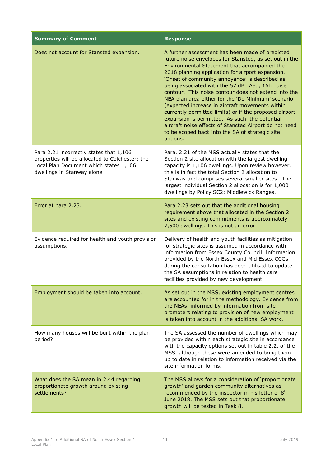| <b>Summary of Comment</b>                                                                                                                                          | <b>Response</b>                                                                                                                                                                                                                                                                                                                                                                                                                                                                                                                                                                                                                                                                                                          |
|--------------------------------------------------------------------------------------------------------------------------------------------------------------------|--------------------------------------------------------------------------------------------------------------------------------------------------------------------------------------------------------------------------------------------------------------------------------------------------------------------------------------------------------------------------------------------------------------------------------------------------------------------------------------------------------------------------------------------------------------------------------------------------------------------------------------------------------------------------------------------------------------------------|
| Does not account for Stansted expansion.                                                                                                                           | A further assessment has been made of predicted<br>future noise envelopes for Stansted, as set out in the<br>Environmental Statement that accompanied the<br>2018 planning application for airport expansion.<br>'Onset of community annoyance' is described as<br>being associated with the 57 dB LAeq, 16h noise<br>contour. This noise contour does not extend into the<br>NEA plan area either for the 'Do Minimum' scenario<br>(expected increase in aircraft movements within<br>currently permitted limits) or if the proposed airport<br>expansion is permitted. As such, the potential<br>aircraft noise effects of Stansted Airport do not need<br>to be scoped back into the SA of strategic site<br>options. |
| Para 2.21 incorrectly states that 1,106<br>properties will be allocated to Colchester; the<br>Local Plan Document which states 1,106<br>dwellings in Stanway alone | Para. 2.21 of the MSS actually states that the<br>Section 2 site allocation with the largest dwelling<br>capacity is 1,106 dwellings. Upon review however,<br>this is in fact the total Section 2 allocation to<br>Stanway and comprises several smaller sites. The<br>largest individual Section 2 allocation is for 1,000<br>dwellings by Policy SC2: Middlewick Ranges.                                                                                                                                                                                                                                                                                                                                               |
| Error at para 2.23.                                                                                                                                                | Para 2.23 sets out that the additional housing<br>requirement above that allocated in the Section 2<br>sites and existing commitments is approximately<br>7,500 dwellings. This is not an error.                                                                                                                                                                                                                                                                                                                                                                                                                                                                                                                         |
| Evidence required for health and youth provision<br>assumptions.                                                                                                   | Delivery of health and youth facilities as mitigation<br>for strategic sites is assumed in accordance with<br>information from Essex County Council. Information<br>provided by the North Essex and Mid Essex CCGs<br>during the consultation has been utilised to update<br>the SA assumptions in relation to health care<br>facilities provided by new development.                                                                                                                                                                                                                                                                                                                                                    |
| Employment should be taken into account.                                                                                                                           | As set out in the MSS, existing employment centres<br>are accounted for in the methodology. Evidence from<br>the NEAs, informed by information from site<br>promoters relating to provision of new employment<br>is taken into account in the additional SA work.                                                                                                                                                                                                                                                                                                                                                                                                                                                        |
| How many houses will be built within the plan<br>period?                                                                                                           | The SA assessed the number of dwellings which may<br>be provided within each strategic site in accordance<br>with the capacity options set out in table 2.2, of the<br>MSS, although these were amended to bring them<br>up to date in relation to information received via the<br>site information forms.                                                                                                                                                                                                                                                                                                                                                                                                               |
| What does the SA mean in 2.44 regarding<br>proportionate growth around existing<br>settlements?                                                                    | The MSS allows for a consideration of 'proportionate<br>growth' and garden community alternatives as<br>recommended by the inspector in his letter of 8 <sup>th</sup><br>June 2018. The MSS sets out that proportionate<br>growth will be tested in Task 8.                                                                                                                                                                                                                                                                                                                                                                                                                                                              |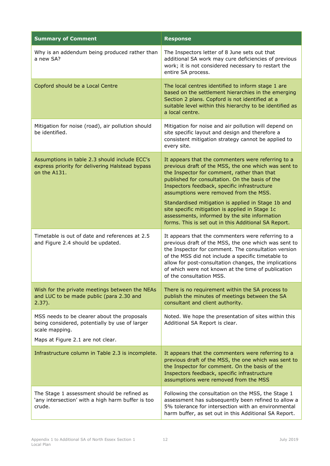| <b>Summary of Comment</b>                                                                                                                            | <b>Response</b>                                                                                                                                                                                                                                                                                                                                                                                                                                                                                                          |
|------------------------------------------------------------------------------------------------------------------------------------------------------|--------------------------------------------------------------------------------------------------------------------------------------------------------------------------------------------------------------------------------------------------------------------------------------------------------------------------------------------------------------------------------------------------------------------------------------------------------------------------------------------------------------------------|
| Why is an addendum being produced rather than<br>a new SA?                                                                                           | The Inspectors letter of 8 June sets out that<br>additional SA work may cure deficiencies of previous<br>work; it is not considered necessary to restart the<br>entire SA process.                                                                                                                                                                                                                                                                                                                                       |
| Copford should be a Local Centre                                                                                                                     | The local centres identified to inform stage 1 are<br>based on the settlement hierarchies in the emerging<br>Section 2 plans. Copford is not identified at a<br>suitable level within this hierarchy to be identified as<br>a local centre.                                                                                                                                                                                                                                                                              |
| Mitigation for noise (road), air pollution should<br>be identified.                                                                                  | Mitigation for noise and air pollution will depend on<br>site specific layout and design and therefore a<br>consistent mitigation strategy cannot be applied to<br>every site.                                                                                                                                                                                                                                                                                                                                           |
| Assumptions in table 2.3 should include ECC's<br>express priority for delivering Halstead bypass<br>on the A131.                                     | It appears that the commenters were referring to a<br>previous draft of the MSS, the one which was sent to<br>the Inspector for comment, rather than that<br>published for consultation. On the basis of the<br>Inspectors feedback, specific infrastructure<br>assumptions were removed from the MSS.<br>Standardised mitigation is applied in Stage 1b and<br>site specific mitigation is applied in Stage 1c<br>assessments, informed by the site information<br>forms. This is set out in this Additional SA Report. |
| Timetable is out of date and references at 2.5<br>and Figure 2.4 should be updated.                                                                  | It appears that the commenters were referring to a<br>previous draft of the MSS, the one which was sent to<br>the Inspector for comment. The consultation version<br>of the MSS did not include a specific timetable to<br>allow for post-consultation changes, the implications<br>of which were not known at the time of publication<br>of the consultation MSS.                                                                                                                                                       |
| Wish for the private meetings between the NEAs<br>and LUC to be made public (para 2.30 and<br>$2.37$ ).                                              | There is no requirement within the SA process to<br>publish the minutes of meetings between the SA<br>consultant and client authority.                                                                                                                                                                                                                                                                                                                                                                                   |
| MSS needs to be clearer about the proposals<br>being considered, potentially by use of larger<br>scale mapping.<br>Maps at Figure 2.1 are not clear. | Noted. We hope the presentation of sites within this<br>Additional SA Report is clear.                                                                                                                                                                                                                                                                                                                                                                                                                                   |
| Infrastructure column in Table 2.3 is incomplete.                                                                                                    | It appears that the commenters were referring to a<br>previous draft of the MSS, the one which was sent to<br>the Inspector for comment. On the basis of the<br>Inspectors feedback, specific infrastructure<br>assumptions were removed from the MSS                                                                                                                                                                                                                                                                    |
| The Stage 1 assessment should be refined as<br>'any intersection' with a high harm buffer is too<br>crude.                                           | Following the consultation on the MSS, the Stage 1<br>assessment has subsequently been refined to allow a<br>5% tolerance for intersection with an environmental<br>harm buffer, as set out in this Additional SA Report.                                                                                                                                                                                                                                                                                                |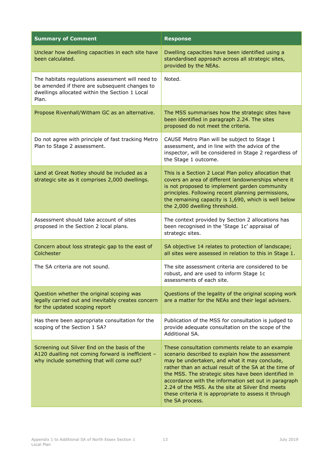| <b>Summary of Comment</b>                                                                                                                                    | <b>Response</b>                                                                                                                                                                                                                                                                                                                                                                                                                                               |
|--------------------------------------------------------------------------------------------------------------------------------------------------------------|---------------------------------------------------------------------------------------------------------------------------------------------------------------------------------------------------------------------------------------------------------------------------------------------------------------------------------------------------------------------------------------------------------------------------------------------------------------|
| Unclear how dwelling capacities in each site have<br>been calculated.                                                                                        | Dwelling capacities have been identified using a<br>standardised approach across all strategic sites,<br>provided by the NEAs.                                                                                                                                                                                                                                                                                                                                |
| The habitats regulations assessment will need to<br>be amended if there are subsequent changes to<br>dwellings allocated within the Section 1 Local<br>Plan. | Noted.                                                                                                                                                                                                                                                                                                                                                                                                                                                        |
| Propose Rivenhall/Witham GC as an alternative.                                                                                                               | The MSS summarises how the strategic sites have<br>been identified in paragraph 2.24. The sites<br>proposed do not meet the criteria.                                                                                                                                                                                                                                                                                                                         |
| Do not agree with principle of fast tracking Metro<br>Plan to Stage 2 assessment.                                                                            | CAUSE Metro Plan will be subject to Stage 1<br>assessment, and in line with the advice of the<br>inspector, will be considered in Stage 2 regardless of<br>the Stage 1 outcome.                                                                                                                                                                                                                                                                               |
| Land at Great Notley should be included as a<br>strategic site as it comprises 2,000 dwellings.                                                              | This is a Section 2 Local Plan policy allocation that<br>covers an area of different landownerships where it<br>is not proposed to implement garden community<br>principles. Following recent planning permissions,<br>the remaining capacity is 1,690, which is well below<br>the 2,000 dwelling threshold.                                                                                                                                                  |
| Assessment should take account of sites<br>proposed in the Section 2 local plans.                                                                            | The context provided by Section 2 allocations has<br>been recognised in the 'Stage 1c' appraisal of<br>strategic sites.                                                                                                                                                                                                                                                                                                                                       |
| Concern about loss strategic gap to the east of<br>Colchester                                                                                                | SA objective 14 relates to protection of landscape;<br>all sites were assessed in relation to this in Stage 1.                                                                                                                                                                                                                                                                                                                                                |
| The SA criteria are not sound.                                                                                                                               | The site assessment criteria are considered to be<br>robust, and are used to inform Stage 1c<br>assessments of each site.                                                                                                                                                                                                                                                                                                                                     |
| Question whether the original scoping was<br>legally carried out and inevitably creates concern<br>for the updated scoping report                            | Questions of the legality of the original scoping work<br>are a matter for the NEAs and their legal advisers.                                                                                                                                                                                                                                                                                                                                                 |
| Has there been appropriate consultation for the<br>scoping of the Section 1 SA?                                                                              | Publication of the MSS for consultation is judged to<br>provide adequate consultation on the scope of the<br>Additional SA.                                                                                                                                                                                                                                                                                                                                   |
| Screening out Silver End on the basis of the<br>A120 dualling not coming forward is inefficient -<br>why include something that will come out?               | These consultation comments relate to an example<br>scenario described to explain how the assessment<br>may be undertaken, and what it may conclude,<br>rather than an actual result of the SA at the time of<br>the MSS. The strategic sites have been identified in<br>accordance with the information set out in paragraph<br>2.24 of the MSS. As the site at Silver End meets<br>these criteria it is appropriate to assess it through<br>the SA process. |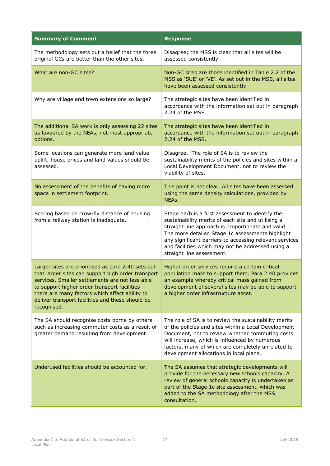| <b>Summary of Comment</b>                                                                                                                                                                                                                                                                                                          | <b>Response</b>                                                                                                                                                                                                                                                                                                                                               |
|------------------------------------------------------------------------------------------------------------------------------------------------------------------------------------------------------------------------------------------------------------------------------------------------------------------------------------|---------------------------------------------------------------------------------------------------------------------------------------------------------------------------------------------------------------------------------------------------------------------------------------------------------------------------------------------------------------|
| The methodology sets out a belief that the three<br>original GCs are better than the other sites.                                                                                                                                                                                                                                  | Disagree; the MSS is clear that all sites will be<br>assessed consistently.                                                                                                                                                                                                                                                                                   |
| What are non-GC sites?                                                                                                                                                                                                                                                                                                             | Non-GC sites are those identified in Table 2.2 of the<br>MSS as 'SUE' or 'VE'. As set out in the MSS, all sites<br>have been assessed consistently.                                                                                                                                                                                                           |
| Why are village and town extensions so large?                                                                                                                                                                                                                                                                                      | The strategic sites have been identified in<br>accordance with the information set out in paragraph<br>2.24 of the MSS.                                                                                                                                                                                                                                       |
| The additional SA work is only assessing 22 sites<br>as favoured by the NEAs, not most appropriate<br>options.                                                                                                                                                                                                                     | The strategic sites have been identified in<br>accordance with the information set out in paragraph<br>2.24 of the MSS.                                                                                                                                                                                                                                       |
| Some locations can generate more land value<br>uplift, house prices and land values should be<br>assessed.                                                                                                                                                                                                                         | Disagree. The role of SA is to review the<br>sustainability merits of the policies and sites within a<br>Local Development Document, not to review the<br>viability of sites.                                                                                                                                                                                 |
| No assessment of the benefits of having more<br>space in settlement footprint.                                                                                                                                                                                                                                                     | This point is not clear. All sites have been assessed<br>using the same density calculations, provided by<br>NEAs.                                                                                                                                                                                                                                            |
| Scoring based on crow-fly distance of housing<br>from a railway station is inadequate.                                                                                                                                                                                                                                             | Stage 1a/b is a first assessment to identify the<br>sustainability merits of each site and utilising a<br>straight line approach is proportionate and valid.<br>The more detailed Stage 1c assessments highlight<br>any significant barriers to accessing relevant services<br>and facilities which may not be addressed using a<br>straight line assessment. |
| Larger sites are prioritised as para 2.40 sets out<br>that larger sites can support high order transport<br>services. Smaller settlements are not less able<br>to support higher order transport facilities -<br>there are many factors which affect ability to<br>deliver transport facilities and these should be<br>recognised. | Higher order services require a certain critical<br>population mass to support them. Para 2.40 provides<br>an example whereby critical mass gained from<br>development of several sites may be able to support<br>a higher order infrastructure asset.                                                                                                        |
| The SA should recognise costs borne by others<br>such as increasing commuter costs as a result of<br>greater demand resulting from development.                                                                                                                                                                                    | The role of SA is to review the sustainability merits<br>of the policies and sites within a Local Development<br>Document, not to review whether commuting costs<br>will increase, which is influenced by numerous<br>factors, many of which are completely unrelated to<br>development allocations in local plans.                                           |
| Underused facilities should be accounted for.                                                                                                                                                                                                                                                                                      | The SA assumes that strategic developments will<br>provide for the necessary new schools capacity. A<br>review of general schools capacity is undertaken as<br>part of the Stage 1c site assessment, which was<br>added to the SA methodology after the MSS<br>consultation.                                                                                  |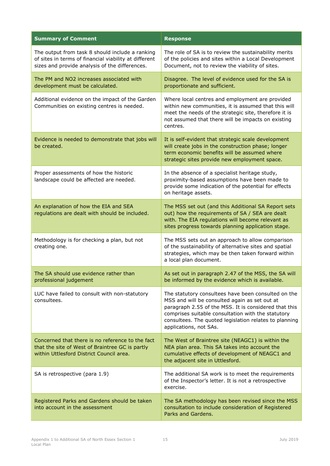| <b>Summary of Comment</b>                                                                                                                                  | <b>Response</b>                                                                                                                                                                                                                                                                                         |
|------------------------------------------------------------------------------------------------------------------------------------------------------------|---------------------------------------------------------------------------------------------------------------------------------------------------------------------------------------------------------------------------------------------------------------------------------------------------------|
| The output from task 8 should include a ranking<br>of sites in terms of financial viability at different<br>sizes and provide analysis of the differences. | The role of SA is to review the sustainability merits<br>of the policies and sites within a Local Development<br>Document, not to review the viability of sites.                                                                                                                                        |
| The PM and NO2 increases associated with<br>development must be calculated.                                                                                | Disagree. The level of evidence used for the SA is<br>proportionate and sufficient.                                                                                                                                                                                                                     |
| Additional evidence on the impact of the Garden<br>Communities on existing centres is needed.                                                              | Where local centres and employment are provided<br>within new communities, it is assumed that this will<br>meet the needs of the strategic site, therefore it is<br>not assumed that there will be impacts on existing<br>centres.                                                                      |
| Evidence is needed to demonstrate that jobs will<br>be created.                                                                                            | It is self-evident that strategic scale development<br>will create jobs in the construction phase; longer<br>term economic benefits will be assumed where<br>strategic sites provide new employment space.                                                                                              |
| Proper assessments of how the historic<br>landscape could be affected are needed.                                                                          | In the absence of a specialist heritage study,<br>proximity-based assumptions have been made to<br>provide some indication of the potential for effects<br>on heritage assets.                                                                                                                          |
| An explanation of how the EIA and SEA<br>regulations are dealt with should be included.                                                                    | The MSS set out (and this Additional SA Report sets<br>out) how the requirements of SA / SEA are dealt<br>with. The EIA regulations will become relevant as<br>sites progress towards planning application stage.                                                                                       |
| Methodology is for checking a plan, but not<br>creating one.                                                                                               | The MSS sets out an approach to allow comparison<br>of the sustainability of alternative sites and spatial<br>strategies, which may be then taken forward within<br>a local plan document.                                                                                                              |
| The SA should use evidence rather than<br>professional judgement                                                                                           | As set out in paragraph 2.47 of the MSS, the SA will<br>be informed by the evidence which is available                                                                                                                                                                                                  |
| LUC have failed to consult with non-statutory<br>consultees.                                                                                               | The statutory consultees have been consulted on the<br>MSS and will be consulted again as set out at<br>paragraph 2.55 of the MSS. It is considered that this<br>comprises suitable consultation with the statutory<br>consultees. The quoted legislation relates to planning<br>applications, not SAs. |
| Concerned that there is no reference to the fact<br>that the site of West of Braintree GC is partly<br>within Uttlesford District Council area.            | The West of Braintree site (NEAGC1) is within the<br>NEA plan area. This SA takes into account the<br>cumulative effects of development of NEAGC1 and<br>the adjacent site in Uttlesford.                                                                                                               |
| SA is retrospective (para 1.9)                                                                                                                             | The additional SA work is to meet the requirements<br>of the Inspector's letter. It is not a retrospective<br>exercise.                                                                                                                                                                                 |
| Registered Parks and Gardens should be taken<br>into account in the assessment                                                                             | The SA methodology has been revised since the MSS<br>consultation to include consideration of Registered<br>Parks and Gardens.                                                                                                                                                                          |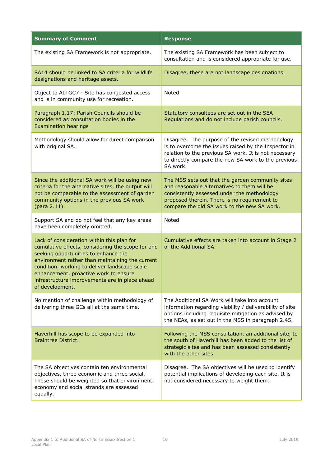| <b>Summary of Comment</b>                                                                                                                                                                                                                                                                                                                                 | <b>Response</b>                                                                                                                                                                                                                               |
|-----------------------------------------------------------------------------------------------------------------------------------------------------------------------------------------------------------------------------------------------------------------------------------------------------------------------------------------------------------|-----------------------------------------------------------------------------------------------------------------------------------------------------------------------------------------------------------------------------------------------|
| The existing SA Framework is not appropriate.                                                                                                                                                                                                                                                                                                             | The existing SA Framework has been subject to<br>consultation and is considered appropriate for use.                                                                                                                                          |
| SA14 should be linked to SA criteria for wildlife<br>designations and heritage assets.                                                                                                                                                                                                                                                                    | Disagree, these are not landscape designations.                                                                                                                                                                                               |
| Object to ALTGC7 - Site has congested access<br>and is in community use for recreation.                                                                                                                                                                                                                                                                   | Noted                                                                                                                                                                                                                                         |
| Paragraph 1.17: Parish Councils should be<br>considered as consultation bodies in the<br><b>Examination hearings</b>                                                                                                                                                                                                                                      | Statutory consultees are set out in the SEA<br>Regulations and do not include parish councils.                                                                                                                                                |
| Methodology should allow for direct comparison<br>with original SA.                                                                                                                                                                                                                                                                                       | Disagree. The purpose of the revised methodology<br>is to overcome the issues raised by the Inspector in<br>relation to the previous SA work. It is not necessary<br>to directly compare the new SA work to the previous<br>SA work.          |
| Since the additional SA work will be using new<br>criteria for the alternative sites, the output will<br>not be comparable to the assessment of garden<br>community options in the previous SA work<br>(para 2.11).                                                                                                                                       | The MSS sets out that the garden community sites<br>and reasonable alternatives to them will be<br>consistently assessed under the methodology<br>proposed therein. There is no requirement to<br>compare the old SA work to the new SA work. |
| Support SA and do not feel that any key areas<br>have been completely omitted.                                                                                                                                                                                                                                                                            | Noted                                                                                                                                                                                                                                         |
| Lack of consideration within this plan for<br>cumulative effects, considering the scope for and<br>seeking opportunities to enhance the<br>environment rather than maintaining the current<br>condition, working to deliver landscape scale<br>enhancement, proactive work to ensure<br>infrastructure improvements are in place ahead<br>of development. | Cumulative effects are taken into account in Stage 2<br>of the Additional SA.                                                                                                                                                                 |
| No mention of challenge within methodology of<br>delivering three GCs all at the same time.                                                                                                                                                                                                                                                               | The Additional SA Work will take into account<br>information regarding viability / deliverability of site<br>options including requisite mitigation as advised by<br>the NEAs, as set out in the MSS in paragraph 2.45.                       |
| Haverhill has scope to be expanded into<br><b>Braintree District.</b>                                                                                                                                                                                                                                                                                     | Following the MSS consultation, an additional site, to<br>the south of Haverhill has been added to the list of<br>strategic sites and has been assessed consistently<br>with the other sites.                                                 |
| The SA objectives contain ten environmental<br>objectives, three economic and three social.<br>These should be weighted so that environment,<br>economy and social strands are assessed<br>equally.                                                                                                                                                       | Disagree. The SA objectives will be used to identify<br>potential implications of developing each site. It is<br>not considered necessary to weight them.                                                                                     |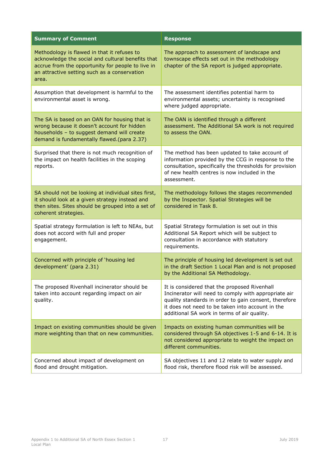| <b>Summary of Comment</b>                                                                                                                                                                                      | <b>Response</b>                                                                                                                                                                                                                                                  |
|----------------------------------------------------------------------------------------------------------------------------------------------------------------------------------------------------------------|------------------------------------------------------------------------------------------------------------------------------------------------------------------------------------------------------------------------------------------------------------------|
| Methodology is flawed in that it refuses to<br>acknowledge the social and cultural benefits that<br>accrue from the opportunity for people to live in<br>an attractive setting such as a conservation<br>area. | The approach to assessment of landscape and<br>townscape effects set out in the methodology<br>chapter of the SA report is judged appropriate.                                                                                                                   |
| Assumption that development is harmful to the<br>environmental asset is wrong.                                                                                                                                 | The assessment identifies potential harm to<br>environmental assets; uncertainty is recognised<br>where judged appropriate.                                                                                                                                      |
| The SA is based on an OAN for housing that is<br>wrong because it doesn't account for hidden<br>households - to suggest demand will create<br>demand is fundamentally flawed.(para 2.37)                       | The OAN is identified through a different<br>assessment. The Additional SA work is not required<br>to assess the OAN.                                                                                                                                            |
| Surprised that there is not much recognition of<br>the impact on health facilities in the scoping<br>reports.                                                                                                  | The method has been updated to take account of<br>information provided by the CCG in response to the<br>consultation, specifically the thresholds for provision<br>of new health centres is now included in the<br>assessment.                                   |
| SA should not be looking at individual sites first,<br>it should look at a given strategy instead and<br>then sites. Sites should be grouped into a set of<br>coherent strategies.                             | The methodology follows the stages recommended<br>by the Inspector. Spatial Strategies will be<br>considered in Task 8.                                                                                                                                          |
| Spatial strategy formulation is left to NEAs, but<br>does not accord with full and proper<br>engagement.                                                                                                       | Spatial Strategy formulation is set out in this<br>Additional SA Report which will be subject to<br>consultation in accordance with statutory<br>requirements.                                                                                                   |
| Concerned with principle of 'housing led<br>development' (para 2.31)                                                                                                                                           | The principle of housing led development is set out<br>in the draft Section 1 Local Plan and is not proposed<br>by the Additional SA Methodology.                                                                                                                |
| The proposed Rivenhall incinerator should be<br>taken into account regarding impact on air<br>quality.                                                                                                         | It is considered that the proposed Rivenhall<br>Incinerator will need to comply with appropriate air<br>quality standards in order to gain consent, therefore<br>it does not need to be taken into account in the<br>additional SA work in terms of air quality. |
| Impact on existing communities should be given<br>more weighting than that on new communities.                                                                                                                 | Impacts on existing human communities will be<br>considered through SA objectives 1-5 and 6-14. It is<br>not considered appropriate to weight the impact on<br>different communities.                                                                            |
| Concerned about impact of development on<br>flood and drought mitigation.                                                                                                                                      | SA objectives 11 and 12 relate to water supply and<br>flood risk, therefore flood risk will be assessed.                                                                                                                                                         |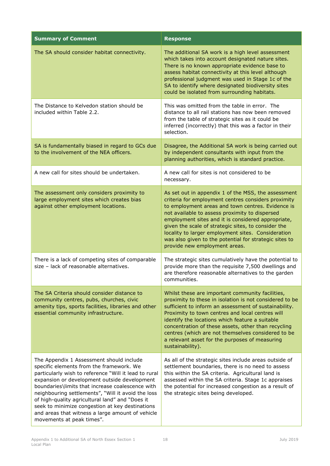| <b>Summary of Comment</b>                                                                                                                                                                                                                                                                                                                                                                                                                                                                      | <b>Response</b>                                                                                                                                                                                                                                                                                                                                                                                                                                                                 |
|------------------------------------------------------------------------------------------------------------------------------------------------------------------------------------------------------------------------------------------------------------------------------------------------------------------------------------------------------------------------------------------------------------------------------------------------------------------------------------------------|---------------------------------------------------------------------------------------------------------------------------------------------------------------------------------------------------------------------------------------------------------------------------------------------------------------------------------------------------------------------------------------------------------------------------------------------------------------------------------|
| The SA should consider habitat connectivity.                                                                                                                                                                                                                                                                                                                                                                                                                                                   | The additional SA work is a high level assessment<br>which takes into account designated nature sites.<br>There is no known appropriate evidence base to<br>assess habitat connectivity at this level although<br>professional judgment was used in Stage 1c of the<br>SA to identify where designated biodiversity sites<br>could be isolated from surrounding habitats.                                                                                                       |
| The Distance to Kelvedon station should be<br>included within Table 2.2.                                                                                                                                                                                                                                                                                                                                                                                                                       | This was omitted from the table in error. The<br>distance to all rail stations has now been removed<br>from the table of strategic sites as it could be<br>inferred (incorrectly) that this was a factor in their<br>selection.                                                                                                                                                                                                                                                 |
| SA is fundamentally biased in regard to GCs due<br>to the involvement of the NEA officers.                                                                                                                                                                                                                                                                                                                                                                                                     | Disagree, the Additional SA work is being carried out<br>by independent consultants with input from the<br>planning authorities, which is standard practice.                                                                                                                                                                                                                                                                                                                    |
| A new call for sites should be undertaken.                                                                                                                                                                                                                                                                                                                                                                                                                                                     | A new call for sites is not considered to be<br>necessary.                                                                                                                                                                                                                                                                                                                                                                                                                      |
| The assessment only considers proximity to<br>large employment sites which creates bias<br>against other employment locations.                                                                                                                                                                                                                                                                                                                                                                 | As set out in appendix 1 of the MSS, the assessment<br>criteria for employment centres considers proximity<br>to employment areas and town centres. Evidence is<br>not available to assess proximity to dispersed<br>employment sites and it is considered appropriate,<br>given the scale of strategic sites, to consider the<br>locality to larger employment sites. Consideration<br>was also given to the potential for strategic sites to<br>provide new employment areas. |
| There is a lack of competing sites of comparable<br>size - lack of reasonable alternatives.                                                                                                                                                                                                                                                                                                                                                                                                    | The strategic sites cumulatively have the potential to<br>provide more than the requisite 7,500 dwellings and<br>are therefore reasonable alternatives to the garden<br>communities.                                                                                                                                                                                                                                                                                            |
| The SA Criteria should consider distance to<br>community centres, pubs, churches, civic<br>amenity tips, sports facilities, libraries and other<br>essential community infrastructure.                                                                                                                                                                                                                                                                                                         | Whilst these are important community facilities,<br>proximity to these in isolation is not considered to be<br>sufficient to inform an assessment of sustainability.<br>Proximity to town centres and local centres will<br>identify the locations which feature a suitable<br>concentration of these assets, other than recycling<br>centres (which are not themselves considered to be<br>a relevant asset for the purposes of measuring<br>sustainability).                  |
| The Appendix 1 Assessment should include<br>specific elements from the framework. We<br>particularly wish to reference "Will it lead to rural<br>expansion or development outside development<br>boundaries\limits that increase coalescence with<br>neighbouring settlements", "Will it avoid the loss<br>of high-quality agricultural land" and "Does it<br>seek to minimize congestion at key destinations<br>and areas that witness a large amount of vehicle<br>movements at peak times". | As all of the strategic sites include areas outside of<br>settlement boundaries, there is no need to assess<br>this within the SA criteria. Agricultural land is<br>assessed within the SA criteria. Stage 1c appraises<br>the potential for increased congestion as a result of<br>the strategic sites being developed.                                                                                                                                                        |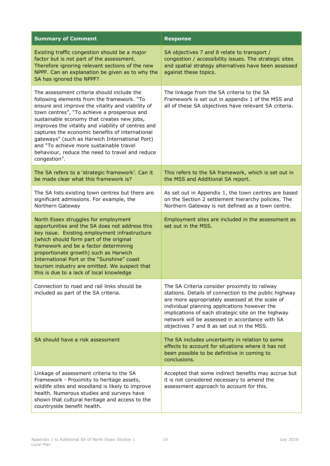| <b>Summary of Comment</b>                                                                                                                                                                                                                                                                                                                                                                                                                                                                                          | <b>Response</b>                                                                                                                                                                                                                                                                                                                                                |
|--------------------------------------------------------------------------------------------------------------------------------------------------------------------------------------------------------------------------------------------------------------------------------------------------------------------------------------------------------------------------------------------------------------------------------------------------------------------------------------------------------------------|----------------------------------------------------------------------------------------------------------------------------------------------------------------------------------------------------------------------------------------------------------------------------------------------------------------------------------------------------------------|
| Existing traffic congestion should be a major<br>factor but is not part of the assessment.<br>Therefore ignoring relevant sections of the new<br>NPPF. Can an explanation be given as to why the<br>SA has ignored the NPPF?                                                                                                                                                                                                                                                                                       | SA objectives 7 and 8 relate to transport /<br>congestion / accessibility issues. The strategic sites<br>and spatial strategy alternatives have been assessed<br>against these topics.                                                                                                                                                                         |
| The assessment criteria should include the<br>following elements from the framework. "To<br>ensure and improve the vitality and viability of<br>town centres", "To achieve a prosperous and<br>sustainable economy that creates new jobs,<br>improves the vitality and viability of centres and<br>captures the economic benefits of international<br>gateways" (such as Harwich International Port)<br>and "To achieve more sustainable travel<br>behaviour, reduce the need to travel and reduce<br>congestion". | The linkage from the SA criteria to the SA<br>Framework is set out in appendix 1 of the MSS and<br>all of these SA objectives have relevant SA criteria.                                                                                                                                                                                                       |
| The SA refers to a 'strategic framework'. Can it<br>be made clear what this framework is?                                                                                                                                                                                                                                                                                                                                                                                                                          | This refers to the SA framework, which is set out in<br>the MSS and Additional SA report.                                                                                                                                                                                                                                                                      |
| The SA lists existing town centres but there are<br>significant admissions. For example, the<br>Northern Gateway                                                                                                                                                                                                                                                                                                                                                                                                   | As set out in Appendix 1, the town centres are based<br>on the Section 2 settlement hierarchy policies. The<br>Northern Gateway is not defined as a town centre.                                                                                                                                                                                               |
| North Essex struggles for employment<br>opportunities and the SA does not address this<br>key issue. Existing employment infrastructure<br>(which should form part of the original<br>framework and be a factor determining<br>proportionate growth) such as Harwich<br>International Port or the "Sunshine" coast<br>tourism industry are omitted. We suspect that<br>this is due to a lack of local knowledge                                                                                                    | Employment sites are included in the assessment as<br>set out in the MSS.                                                                                                                                                                                                                                                                                      |
| Connection to road and rail links should be<br>included as part of the SA criteria.                                                                                                                                                                                                                                                                                                                                                                                                                                | The SA Criteria consider proximity to railway<br>stations. Details of connection to the public highway<br>are more appropriately assessed at the scale of<br>individual planning applications however the<br>implications of each strategic site on the highway<br>network will be assessed in accordance with SA<br>objectives 7 and 8 as set out in the MSS. |
| SA should have a risk assessment                                                                                                                                                                                                                                                                                                                                                                                                                                                                                   | The SA includes uncertainty in relation to some<br>effects to account for situations where it has not<br>been possible to be definitive in coming to<br>conclusions.                                                                                                                                                                                           |
| Linkage of assessment criteria to the SA<br>Framework - Proximity to heritage assets,<br>wildlife sites and woodland is likely to improve<br>health. Numerous studies and surveys have<br>shown that cultural heritage and access to the<br>countryside benefit health.                                                                                                                                                                                                                                            | Accepted that some indirect benefits may accrue but<br>it is not considered necessary to amend the<br>assessment approach to account for this.                                                                                                                                                                                                                 |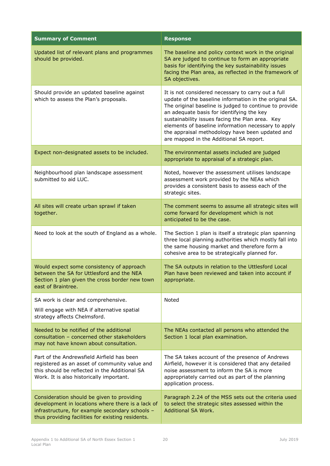| <b>Summary of Comment</b>                                                                                                                                                                               | <b>Response</b>                                                                                                                                                                                                                                                                                                                                                                                                             |
|---------------------------------------------------------------------------------------------------------------------------------------------------------------------------------------------------------|-----------------------------------------------------------------------------------------------------------------------------------------------------------------------------------------------------------------------------------------------------------------------------------------------------------------------------------------------------------------------------------------------------------------------------|
| Updated list of relevant plans and programmes<br>should be provided.                                                                                                                                    | The baseline and policy context work in the original<br>SA are judged to continue to form an appropriate<br>basis for identifying the key sustainability issues<br>facing the Plan area, as reflected in the framework of<br>SA objectives.                                                                                                                                                                                 |
| Should provide an updated baseline against<br>which to assess the Plan's proposals.                                                                                                                     | It is not considered necessary to carry out a full<br>update of the baseline information in the original SA.<br>The original baseline is judged to continue to provide<br>an adequate basis for identifying the key<br>sustainability issues facing the Plan area. Key<br>elements of baseline information necessary to apply<br>the appraisal methodology have been updated and<br>are mapped in the Additional SA report. |
| Expect non-designated assets to be included.                                                                                                                                                            | The environmental assets included are judged<br>appropriate to appraisal of a strategic plan.                                                                                                                                                                                                                                                                                                                               |
| Neighbourhood plan landscape assessment<br>submitted to aid LUC.                                                                                                                                        | Noted, however the assessment utilises landscape<br>assessment work provided by the NEAs which<br>provides a consistent basis to assess each of the<br>strategic sites.                                                                                                                                                                                                                                                     |
| All sites will create urban sprawl if taken<br>together.                                                                                                                                                | The comment seems to assume all strategic sites will<br>come forward for development which is not<br>anticipated to be the case.                                                                                                                                                                                                                                                                                            |
| Need to look at the south of England as a whole.                                                                                                                                                        | The Section 1 plan is itself a strategic plan spanning<br>three local planning authorities which mostly fall into<br>the same housing market and therefore form a<br>cohesive area to be strategically planned for.                                                                                                                                                                                                         |
| Would expect some consistency of approach<br>between the SA for Uttlesford and the NEA<br>Section 1 plan given the cross border new town<br>east of Braintree.                                          | The SA outputs in relation to the Uttlesford Local<br>Plan have been reviewed and taken into account if<br>appropriate.                                                                                                                                                                                                                                                                                                     |
| SA work is clear and comprehensive.<br>Will engage with NEA if alternative spatial<br>strategy affects Chelmsford.                                                                                      | Noted                                                                                                                                                                                                                                                                                                                                                                                                                       |
| Needed to be notified of the additional<br>consultation - concerned other stakeholders<br>may not have known about consultation.                                                                        | The NEAs contacted all persons who attended the<br>Section 1 local plan examination.                                                                                                                                                                                                                                                                                                                                        |
| Part of the Andrewsfield Airfield has been<br>registered as an asset of community value and<br>this should be reflected in the Additional SA<br>Work. It is also historically important.                | The SA takes account of the presence of Andrews<br>Airfield, however it is considered that any detailed<br>noise assessment to inform the SA is more<br>appropriately carried out as part of the planning<br>application process.                                                                                                                                                                                           |
| Consideration should be given to providing<br>development in locations where there is a lack of<br>infrastructure, for example secondary schools -<br>thus providing facilities for existing residents. | Paragraph 2.24 of the MSS sets out the criteria used<br>to select the strategic sites assessed within the<br>Additional SA Work.                                                                                                                                                                                                                                                                                            |